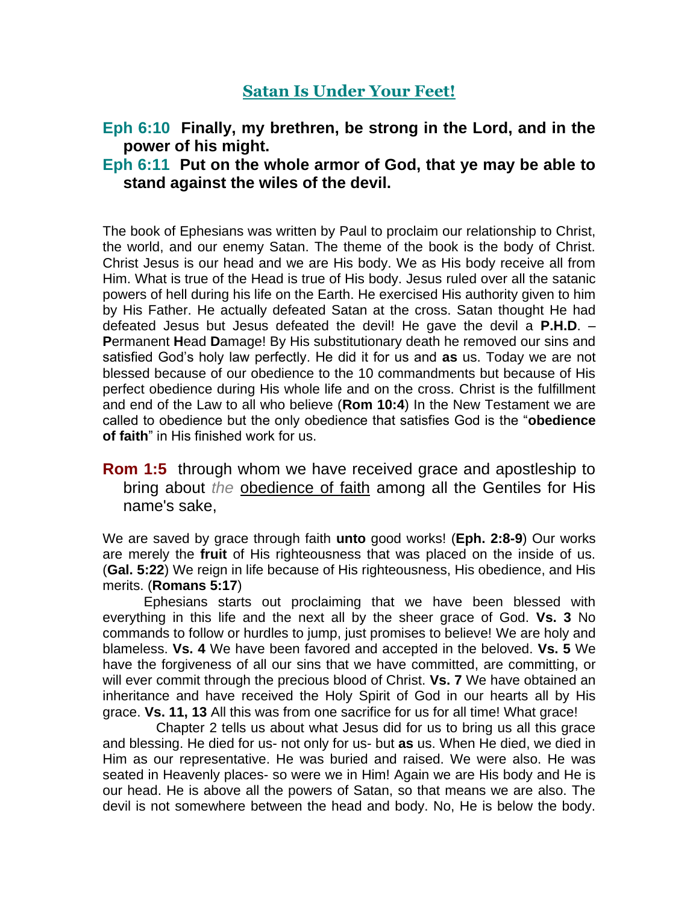## **Satan Is Under Your Feet!**

# **Eph 6:10 Finally, my brethren, be strong in the Lord, and in the power of his might.**

### **Eph 6:11 Put on the whole armor of God, that ye may be able to stand against the wiles of the devil.**

The book of Ephesians was written by Paul to proclaim our relationship to Christ, the world, and our enemy Satan. The theme of the book is the body of Christ. Christ Jesus is our head and we are His body. We as His body receive all from Him. What is true of the Head is true of His body. Jesus ruled over all the satanic powers of hell during his life on the Earth. He exercised His authority given to him by His Father. He actually defeated Satan at the cross. Satan thought He had defeated Jesus but Jesus defeated the devil! He gave the devil a **P.H.D**. – **P**ermanent **H**ead **D**amage! By His substitutionary death he removed our sins and satisfied God's holy law perfectly. He did it for us and **as** us. Today we are not blessed because of our obedience to the 10 commandments but because of His perfect obedience during His whole life and on the cross. Christ is the fulfillment and end of the Law to all who believe (**Rom 10:4**) In the New Testament we are called to obedience but the only obedience that satisfies God is the "**obedience of faith**" in His finished work for us.

### **Rom 1:5** through whom we have received grace and apostleship to bring about *the* obedience of faith among all the Gentiles for His name's sake,

We are saved by grace through faith **unto** good works! (**Eph. 2:8-9**) Our works are merely the **fruit** of His righteousness that was placed on the inside of us. (**Gal. 5:22**) We reign in life because of His righteousness, His obedience, and His merits. (**Romans 5:17**)

Ephesians starts out proclaiming that we have been blessed with everything in this life and the next all by the sheer grace of God. **Vs. 3** No commands to follow or hurdles to jump, just promises to believe! We are holy and blameless. **Vs. 4** We have been favored and accepted in the beloved. **Vs. 5** We have the forgiveness of all our sins that we have committed, are committing, or will ever commit through the precious blood of Christ. **Vs. 7** We have obtained an inheritance and have received the Holy Spirit of God in our hearts all by His grace. **Vs. 11, 13** All this was from one sacrifice for us for all time! What grace!

 Chapter 2 tells us about what Jesus did for us to bring us all this grace and blessing. He died for us- not only for us- but **as** us. When He died, we died in Him as our representative. He was buried and raised. We were also. He was seated in Heavenly places- so were we in Him! Again we are His body and He is our head. He is above all the powers of Satan, so that means we are also. The devil is not somewhere between the head and body. No, He is below the body.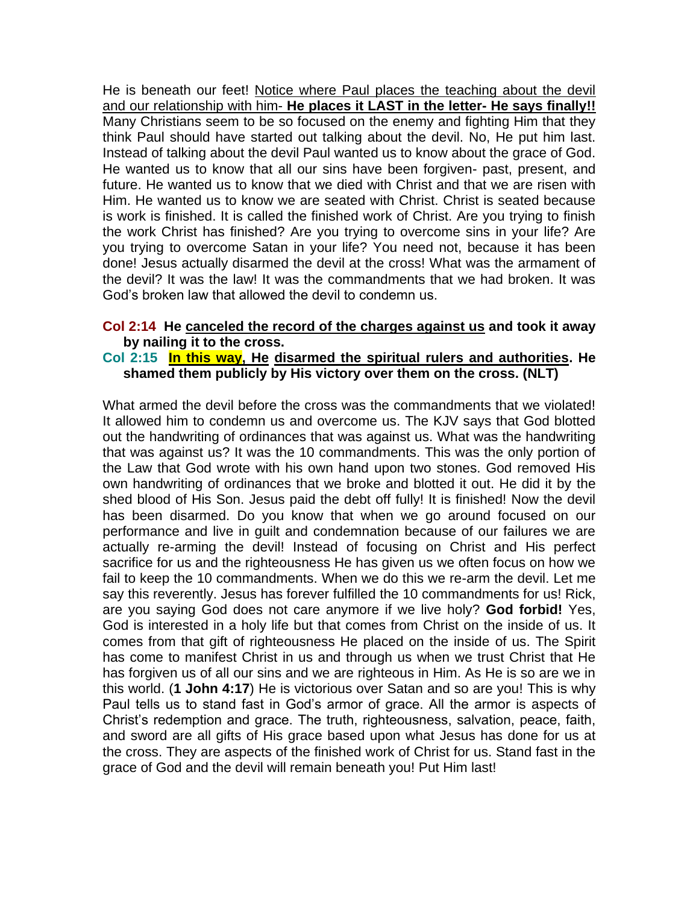He is beneath our feet! Notice where Paul places the teaching about the devil and our relationship with him- **He places it LAST in the letter- He says finally!!** Many Christians seem to be so focused on the enemy and fighting Him that they think Paul should have started out talking about the devil. No, He put him last. Instead of talking about the devil Paul wanted us to know about the grace of God. He wanted us to know that all our sins have been forgiven- past, present, and future. He wanted us to know that we died with Christ and that we are risen with Him. He wanted us to know we are seated with Christ. Christ is seated because is work is finished. It is called the finished work of Christ. Are you trying to finish the work Christ has finished? Are you trying to overcome sins in your life? Are you trying to overcome Satan in your life? You need not, because it has been done! Jesus actually disarmed the devil at the cross! What was the armament of the devil? It was the law! It was the commandments that we had broken. It was God's broken law that allowed the devil to condemn us.

#### **Col 2:14 He canceled the record of the charges against us and took it away by nailing it to the cross.**

#### **Col 2:15 In this way, He disarmed the spiritual rulers and authorities. He shamed them publicly by His victory over them on the cross. (NLT)**

What armed the devil before the cross was the commandments that we violated! It allowed him to condemn us and overcome us. The KJV says that God blotted out the handwriting of ordinances that was against us. What was the handwriting that was against us? It was the 10 commandments. This was the only portion of the Law that God wrote with his own hand upon two stones. God removed His own handwriting of ordinances that we broke and blotted it out. He did it by the shed blood of His Son. Jesus paid the debt off fully! It is finished! Now the devil has been disarmed. Do you know that when we go around focused on our performance and live in guilt and condemnation because of our failures we are actually re-arming the devil! Instead of focusing on Christ and His perfect sacrifice for us and the righteousness He has given us we often focus on how we fail to keep the 10 commandments. When we do this we re-arm the devil. Let me say this reverently. Jesus has forever fulfilled the 10 commandments for us! Rick, are you saying God does not care anymore if we live holy? **God forbid!** Yes, God is interested in a holy life but that comes from Christ on the inside of us. It comes from that gift of righteousness He placed on the inside of us. The Spirit has come to manifest Christ in us and through us when we trust Christ that He has forgiven us of all our sins and we are righteous in Him. As He is so are we in this world. (**1 John 4:17**) He is victorious over Satan and so are you! This is why Paul tells us to stand fast in God's armor of grace. All the armor is aspects of Christ's redemption and grace. The truth, righteousness, salvation, peace, faith, and sword are all gifts of His grace based upon what Jesus has done for us at the cross. They are aspects of the finished work of Christ for us. Stand fast in the grace of God and the devil will remain beneath you! Put Him last!